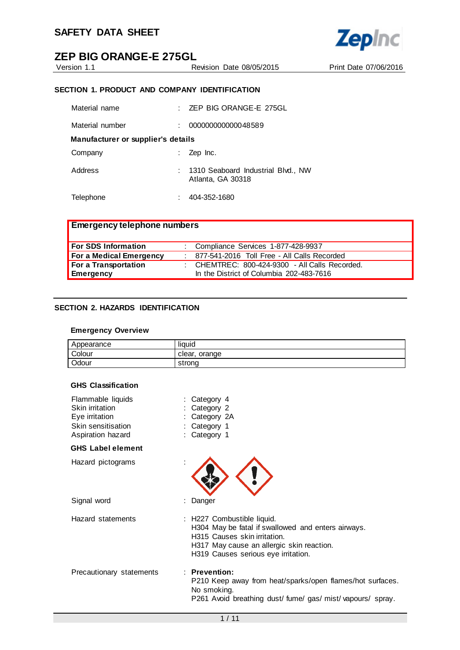

Version 1.1 Revision Date 08/05/2015 Print Date 07/06/2016

# **SECTION 1. PRODUCT AND COMPANY IDENTIFICATION**

| Material name                      |  | ZEP BIG ORANGE-E 275GL<br>t.                            |  |
|------------------------------------|--|---------------------------------------------------------|--|
| Material number                    |  | 000000000000048589                                      |  |
| Manufacturer or supplier's details |  |                                                         |  |
| Company                            |  | Zep Inc.                                                |  |
| Address                            |  | 1310 Seaboard Industrial Blvd., NW<br>Atlanta, GA 30318 |  |
| Telephone                          |  | 404-352-1680                                            |  |

| <b>Emergency telephone numbers</b> |                                                  |
|------------------------------------|--------------------------------------------------|
| <b>For SDS Information</b>         | : Compliance Services 1-877-428-9937             |
| For a Medical Emergency            | : 877-541-2016 Toll Free - All Calls Recorded    |
| For a Transportation               | : CHEMTREC: $800-424-9300$ - All Calls Recorded. |
| <b>Emergency</b>                   | In the District of Columbia 202-483-7616         |

# **SECTION 2. HAZARDS IDENTIFICATION**

# **Emergency Overview**

| Appearance | liquid           |
|------------|------------------|
| Colour     | orange<br>clear. |
| Odour      | strona           |

#### **GHS Classification**

| Flammable liquids<br>Skin irritation<br>Eye irritation<br>Skin sensitisation<br>Aspiration hazard | Category 4<br>Category 2<br>Category 2A<br>Category 1<br>Category 1                                                                                                                                  |
|---------------------------------------------------------------------------------------------------|------------------------------------------------------------------------------------------------------------------------------------------------------------------------------------------------------|
| <b>GHS Label element</b>                                                                          |                                                                                                                                                                                                      |
| Hazard pictograms                                                                                 |                                                                                                                                                                                                      |
| Signal word                                                                                       | Danger                                                                                                                                                                                               |
| Hazard statements                                                                                 | : H227 Combustible liquid.<br>H304 May be fatal if swallowed and enters airways.<br>H315 Causes skin irritation.<br>H317 May cause an allergic skin reaction.<br>H319 Causes serious eye irritation. |
| Precautionary statements                                                                          | $:$ Prevention:<br>P210 Keep away from heat/sparks/open flames/hot surfaces.<br>No smoking.<br>P261 Avoid breathing dust/fume/gas/mist/vapours/spray.                                                |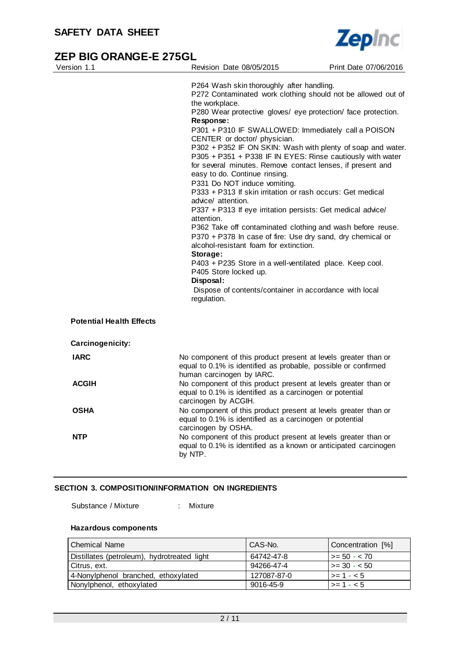

| Version 1.1                     | Revision Date 08/05/2015                                                                                                                                                                                                                                                                                                                                                                                                                                                                                                                                                                                                                                                                                                                                                                                                                                                                                                                                                                                                                                                                   | Print Date 07/06/2016 |
|---------------------------------|--------------------------------------------------------------------------------------------------------------------------------------------------------------------------------------------------------------------------------------------------------------------------------------------------------------------------------------------------------------------------------------------------------------------------------------------------------------------------------------------------------------------------------------------------------------------------------------------------------------------------------------------------------------------------------------------------------------------------------------------------------------------------------------------------------------------------------------------------------------------------------------------------------------------------------------------------------------------------------------------------------------------------------------------------------------------------------------------|-----------------------|
|                                 | P264 Wash skin thoroughly after handling.<br>P272 Contaminated work clothing should not be allowed out of<br>the workplace.<br>P280 Wear protective gloves/ eye protection/ face protection.<br>Response:<br>P301 + P310 IF SWALLOWED: Immediately call a POISON<br>CENTER or doctor/ physician.<br>P302 + P352 IF ON SKIN: Wash with plenty of soap and water.<br>P305 + P351 + P338 IF IN EYES: Rinse cautiously with water<br>for several minutes. Remove contact lenses, if present and<br>easy to do. Continue rinsing.<br>P331 Do NOT induce vomiting.<br>P333 + P313 If skin irritation or rash occurs: Get medical<br>advice/ attention.<br>P337 + P313 If eye irritation persists: Get medical advice/<br>attention.<br>P362 Take off contaminated clothing and wash before reuse.<br>P370 + P378 In case of fire: Use dry sand, dry chemical or<br>alcohol-resistant foam for extinction.<br>Storage:<br>P403 + P235 Store in a well-ventilated place. Keep cool.<br>P405 Store locked up.<br>Disposal:<br>Dispose of contents/container in accordance with local<br>regulation. |                       |
| <b>Potential Health Effects</b> |                                                                                                                                                                                                                                                                                                                                                                                                                                                                                                                                                                                                                                                                                                                                                                                                                                                                                                                                                                                                                                                                                            |                       |
| Carcinogenicity:                |                                                                                                                                                                                                                                                                                                                                                                                                                                                                                                                                                                                                                                                                                                                                                                                                                                                                                                                                                                                                                                                                                            |                       |
| <b>IARC</b>                     | No component of this product present at levels greater than or<br>equal to 0.1% is identified as probable, possible or confirmed<br>human carcinogen by IARC.                                                                                                                                                                                                                                                                                                                                                                                                                                                                                                                                                                                                                                                                                                                                                                                                                                                                                                                              |                       |
| <b>ACGIH</b>                    | No component of this product present at levels greater than or<br>equal to 0.1% is identified as a carcinogen or potential<br>carcinogen by ACGIH.                                                                                                                                                                                                                                                                                                                                                                                                                                                                                                                                                                                                                                                                                                                                                                                                                                                                                                                                         |                       |
| OSHA                            | No component of this product present at levels greater than or<br>equal to 0.1% is identified as a carcinogen or potential<br>carcinogen by OSHA.                                                                                                                                                                                                                                                                                                                                                                                                                                                                                                                                                                                                                                                                                                                                                                                                                                                                                                                                          |                       |
| <b>NTP</b>                      | No component of this product present at levels greater than or<br>equal to 0.1% is identified as a known or anticipated carcinogen<br>by NTP.                                                                                                                                                                                                                                                                                                                                                                                                                                                                                                                                                                                                                                                                                                                                                                                                                                                                                                                                              |                       |

# **SECTION 3. COMPOSITION/INFORMATION ON INGREDIENTS**

Substance / Mixture : Mixture

## **Hazardous components**

| l Chemical Name                             | CAS-No.     | Concentration [%]    |
|---------------------------------------------|-------------|----------------------|
| Distillates (petroleum), hydrotreated light | 64742-47-8  | $\vert$ >= 50 - < 70 |
| Citrus, ext.                                | 94266-47-4  | $\vert$ >= 30 - < 50 |
| 4-Nonylphenol branched, ethoxylated         | 127087-87-0 | $ >= 1 - < 5$        |
| Nonylphenol, ethoxylated                    | 9016-45-9   | $ >= 1 - < 5$        |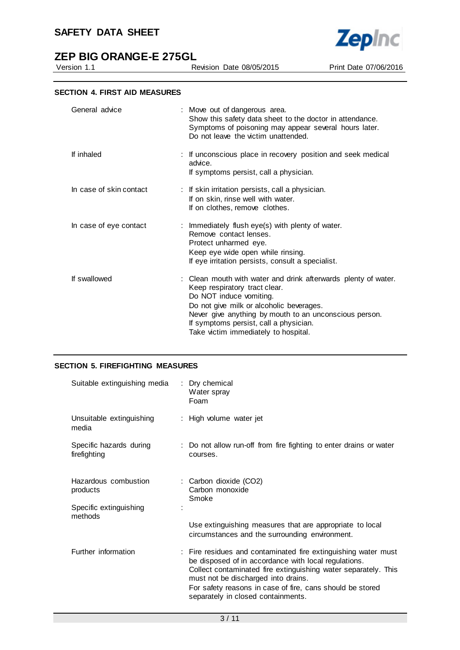

**Zepinc** 

Revision Date 08/05/2015 Print Date 07/06/2016

|  |  | <b>SECTION 4. FIRST AID MEASURES</b> |
|--|--|--------------------------------------|
|--|--|--------------------------------------|

| : Move out of dangerous area.<br>Show this safety data sheet to the doctor in attendance.<br>Symptoms of poisoning may appear several hours later.<br>Do not leave the victim unattended.                                                                                                                          |
|--------------------------------------------------------------------------------------------------------------------------------------------------------------------------------------------------------------------------------------------------------------------------------------------------------------------|
| : If unconscious place in recovery position and seek medical<br>advice.<br>If symptoms persist, call a physician.                                                                                                                                                                                                  |
| : If skin irritation persists, call a physician.<br>If on skin, rinse well with water.<br>If on clothes, remove clothes.                                                                                                                                                                                           |
| : Immediately flush eye(s) with plenty of water.<br>Remove contact lenses.<br>Protect unharmed eye.<br>Keep eye wide open while rinsing.<br>If eye irritation persists, consult a specialist.                                                                                                                      |
| : Clean mouth with water and drink afterwards plenty of water.<br>Keep respiratory tract clear.<br>Do NOT induce vomiting.<br>Do not give milk or alcoholic beverages.<br>Never give anything by mouth to an unconscious person.<br>If symptoms persist, call a physician.<br>Take victim immediately to hospital. |
|                                                                                                                                                                                                                                                                                                                    |

# **SECTION 5. FIREFIGHTING MEASURES**

| Suitable extinguishing media            | : Dry chemical<br>Water spray<br>Foam                                                                                                                                                                                                                                                                                              |
|-----------------------------------------|------------------------------------------------------------------------------------------------------------------------------------------------------------------------------------------------------------------------------------------------------------------------------------------------------------------------------------|
| Unsuitable extinguishing<br>media       | : High volume water jet                                                                                                                                                                                                                                                                                                            |
| Specific hazards during<br>firefighting | : Do not allow run-off from fire fighting to enter drains or water<br>courses.                                                                                                                                                                                                                                                     |
| Hazardous combustion<br>products        | : Carbon dioxide (CO2)<br>Carbon monoxide<br>Smoke                                                                                                                                                                                                                                                                                 |
| Specific extinguishing<br>methods       | Use extinguishing measures that are appropriate to local<br>circumstances and the surrounding environment.                                                                                                                                                                                                                         |
| Further information                     | : Fire residues and contaminated fire extinguishing water must<br>be disposed of in accordance with local regulations.<br>Collect contaminated fire extinguishing water separately. This<br>must not be discharged into drains.<br>For safety reasons in case of fire, cans should be stored<br>separately in closed containments. |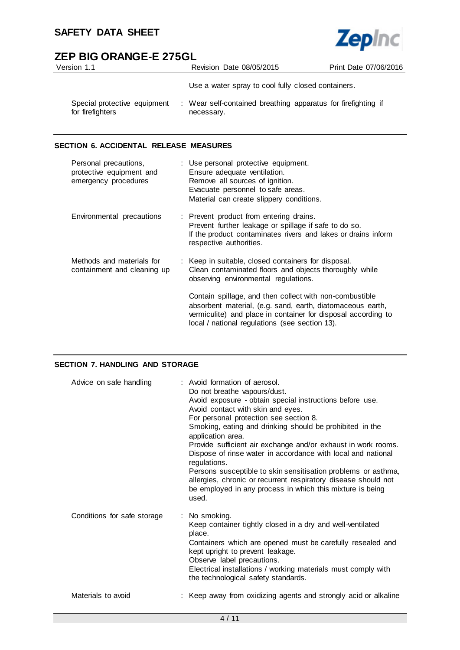

| Version 1.1                                      | Revision Date 08/05/2015                                                    | Print Date 07/06/2016 |
|--------------------------------------------------|-----------------------------------------------------------------------------|-----------------------|
|                                                  | Use a water spray to cool fully closed containers.                          |                       |
| Special protective equipment<br>for firefighters | : Wear self-contained breathing apparatus for firefighting if<br>necessary. |                       |

# **SECTION 6. ACCIDENTAL RELEASE MEASURES**

| Personal precautions,<br>protective equipment and<br>emergency procedures | : Use personal protective equipment.<br>Ensure adequate ventilation.<br>Remove all sources of ignition.<br>Evacuate personnel to safe areas.<br>Material can create slippery conditions.                                                 |
|---------------------------------------------------------------------------|------------------------------------------------------------------------------------------------------------------------------------------------------------------------------------------------------------------------------------------|
| Environmental precautions                                                 | : Prevent product from entering drains.<br>Prevent further leakage or spillage if safe to do so.<br>If the product contaminates rivers and lakes or drains inform<br>respective authorities.                                             |
| Methods and materials for<br>containment and cleaning up                  | : Keep in suitable, closed containers for disposal.<br>Clean contaminated floors and objects thoroughly while<br>observing environmental regulations.                                                                                    |
|                                                                           | Contain spillage, and then collect with non-combustible<br>absorbent material, (e.g. sand, earth, diatomaceous earth,<br>vermiculite) and place in container for disposal according to<br>local / national regulations (see section 13). |

# **SECTION 7. HANDLING AND STORAGE**

| Advice on safe handling     | : Avoid formation of aerosol.<br>Do not breathe vapours/dust.<br>Avoid exposure - obtain special instructions before use.<br>Avoid contact with skin and eyes.<br>For personal protection see section 8.<br>Smoking, eating and drinking should be prohibited in the<br>application area.<br>Provide sufficient air exchange and/or exhaust in work rooms.<br>Dispose of rinse water in accordance with local and national<br>regulations.<br>Persons susceptible to skin sensitisation problems or asthma,<br>allergies, chronic or recurrent respiratory disease should not<br>be employed in any process in which this mixture is being<br>used. |
|-----------------------------|-----------------------------------------------------------------------------------------------------------------------------------------------------------------------------------------------------------------------------------------------------------------------------------------------------------------------------------------------------------------------------------------------------------------------------------------------------------------------------------------------------------------------------------------------------------------------------------------------------------------------------------------------------|
| Conditions for safe storage | : No smoking.<br>Keep container tightly closed in a dry and well-ventilated<br>place.<br>Containers which are opened must be carefully resealed and<br>kept upright to prevent leakage.<br>Observe label precautions.<br>Electrical installations / working materials must comply with<br>the technological safety standards.                                                                                                                                                                                                                                                                                                                       |
| Materials to avoid          | : Keep away from oxidizing agents and strongly acid or alkaline                                                                                                                                                                                                                                                                                                                                                                                                                                                                                                                                                                                     |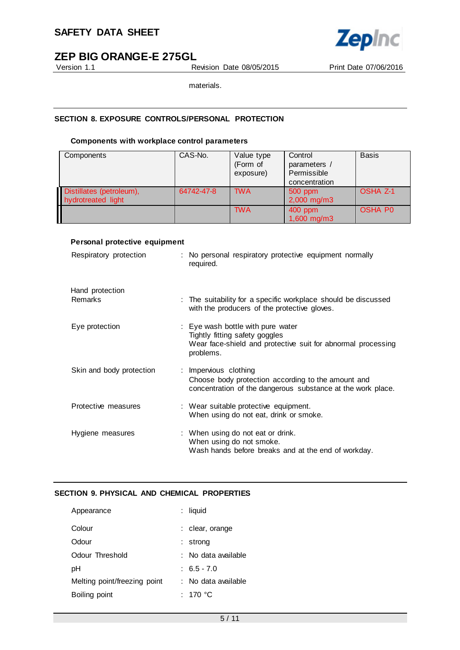

Version 1.1 Revision Date 08/05/2015 Print Date 07/06/2016

materials.

# **SECTION 8. EXPOSURE CONTROLS/PERSONAL PROTECTION**

## **Components with workplace control parameters**

| Components                                     | CAS-No.    | Value type<br>(Form of<br>exposure) | Control<br>parameters /<br>Permissible<br>concentration | <b>Basis</b>        |
|------------------------------------------------|------------|-------------------------------------|---------------------------------------------------------|---------------------|
| Distillates (petroleum),<br>hydrotreated light | 64742-47-8 | <b>TWA</b>                          | $500$ ppm<br>$2,000$ mg/m3                              | OSHA <sub>Z-1</sub> |
|                                                |            | <b>TWA</b>                          | 400 ppm<br>1,600 mg/m3                                  | <b>OSHA PO</b>      |

# **Personal protective equipment**

| Respiratory protection            | : No personal respiratory protective equipment normally<br>required.                                                                                    |
|-----------------------------------|---------------------------------------------------------------------------------------------------------------------------------------------------------|
| Hand protection<br><b>Remarks</b> | : The suitability for a specific workplace should be discussed<br>with the producers of the protective gloves.                                          |
| Eye protection                    | : Eye wash bottle with pure water<br>Tightly fitting safety goggles<br>Wear face-shield and protective suit for abnormal processing                     |
| Skin and body protection          | problems.<br>: Impervious clothing<br>Choose body protection according to the amount and<br>concentration of the dangerous substance at the work place. |
| Protective measures               | : Wear suitable protective equipment.<br>When using do not eat, drink or smoke.                                                                         |
| Hygiene measures                  | : When using do not eat or drink.<br>When using do not smoke.<br>Wash hands before breaks and at the end of workday.                                    |

# **SECTION 9. PHYSICAL AND CHEMICAL PROPERTIES**

| Appearance                   | : liquid            |
|------------------------------|---------------------|
| Colour                       | : clear, orange     |
| Odour                        | strong              |
| Odour Threshold              | ∶ No data available |
| рH                           | $: 6.5 - 7.0$       |
| Melting point/freezing point | : No data available |
| Boiling point                | : 170 °C            |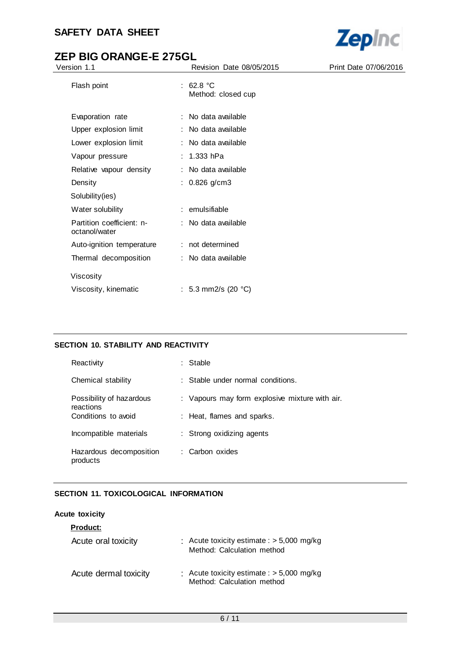# **SAFETY DATA SHEET**



# **ZEP BIG ORANGE-E 275GL**

| Version 1.1                                | Revision Date 08/05/2015        | Print Date 07/06/2016 |
|--------------------------------------------|---------------------------------|-----------------------|
| Flash point                                | : 62.8 °C<br>Method: closed cup |                       |
| Evaporation rate                           | : No data available             |                       |
| Upper explosion limit                      | : No data available             |                       |
| Lower explosion limit                      | : No data available             |                       |
| Vapour pressure                            | 1.333 hPa                       |                       |
| Relative vapour density                    | : No data available             |                       |
| Density                                    | : $0.826$ g/cm3                 |                       |
| Solubility(ies)                            |                                 |                       |
| Water solubility                           | : emulsifiable                  |                       |
| Partition coefficient: n-<br>octanol/water | : No data available             |                       |
| Auto-ignition temperature                  | : not determined                |                       |
| Thermal decomposition                      | : No data available             |                       |
| Viscosity                                  |                                 |                       |
| Viscosity, kinematic                       | : 5.3 mm2/s (20 $^{\circ}$ C)   |                       |

# **SECTION 10. STABILITY AND REACTIVITY**

| Reactivity                            | : Stable                                       |
|---------------------------------------|------------------------------------------------|
| Chemical stability                    | : Stable under normal conditions.              |
| Possibility of hazardous<br>reactions | : Vapours may form explosive mixture with air. |
| Conditions to avoid                   | : Heat, flames and sparks.                     |
| Incompatible materials                | : Strong oxidizing agents                      |
| Hazardous decomposition<br>products   | : Carbon oxides                                |

# **SECTION 11. TOXICOLOGICAL INFORMATION**

# **Acute toxicity**

| <b>Product:</b>       |                                                                           |
|-----------------------|---------------------------------------------------------------------------|
| Acute oral toxicity   | : Acute toxicity estimate : $> 5,000$ mg/kg<br>Method: Calculation method |
| Acute dermal toxicity | : Acute toxicity estimate : $> 5,000$ mg/kg<br>Method: Calculation method |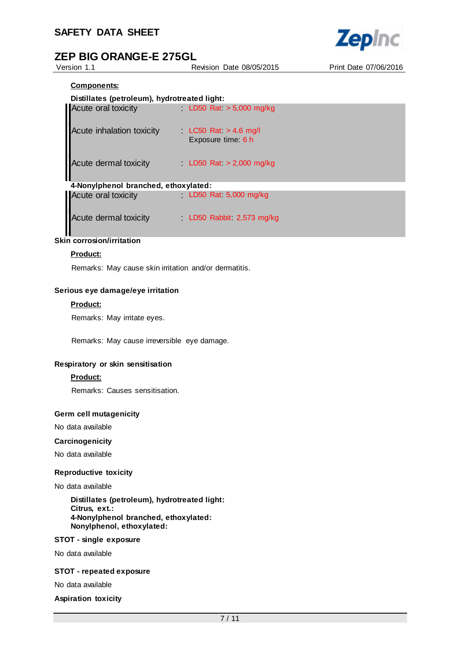

Version 1.1 Revision Date 08/05/2015 Print Date 07/06/2016

# **Components:**

# **Distillates (petroleum), hydrotreated light:**

| Acute oral toxicity                  | LD50 Rat $> 5,000$ mg/kg                    |
|--------------------------------------|---------------------------------------------|
| <b>Acute inhalation toxicity</b>     | LC50 Rat $>$ 4.6 mg/l<br>Exposure time: 6 h |
| Acute dermal toxicity                | LD50 Rat $>$ 2,000 mg/kg                    |
| 4-Nonylphenol branched, ethoxylated: |                                             |
| Acute oral toxicity                  | LD50 Rat $5,000$ mg/kg                      |
| Acute dermal toxicity                | LD50 Rabbit 2,573 mg/kg                     |

# **Skin corrosion/irritation**

# **Product:**

Remarks: May cause skin irritation and/or dermatitis.

#### **Serious eye damage/eye irritation**

#### **Product:**

Remarks: May irritate eyes.

Remarks: May cause irreversible eye damage.

# **Respiratory or skin sensitisation**

# **Product:**

Remarks: Causes sensitisation.

#### **Germ cell mutagenicity**

No data available

#### **Carcinogenicity**

No data available

#### **Reproductive toxicity**

#### No data available

**Distillates (petroleum), hydrotreated light: Citrus, ext.: 4-Nonylphenol branched, ethoxylated: Nonylphenol, ethoxylated:**

#### **STOT - single exposure**

No data available

#### **STOT - repeated exposure**

No data available

**Aspiration toxicity**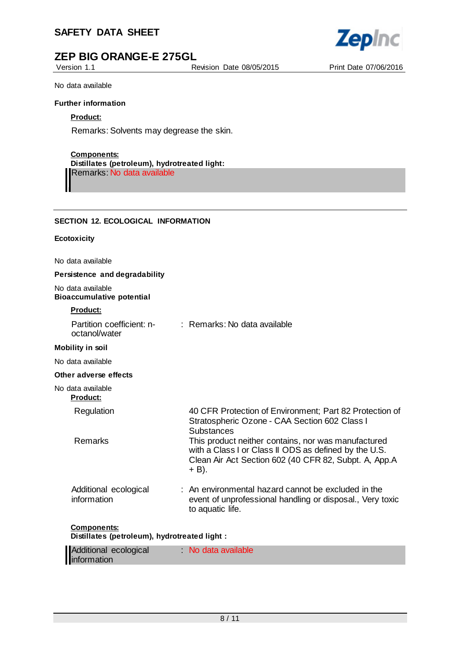# **SAFETY DATA SHEET**



Version 1.1 Revision Date 08/05/2015 Print Date 07/06/2016



No data available

## **Further information**

# **Product:**

Remarks: Solvents may degrease the skin.

# **Components:**

**Distillates (petroleum), hydrotreated light:** Remarks: No data available

# **SECTION 12. ECOLOGICAL INFORMATION**

#### **Ecotoxicity**

No data available

## **Persistence and degradability**

No data available **Bioaccumulative potential**

# **Product:**

| Partition coefficient: n-<br>octanol/water                          | : Remarks: No data available                                                                                                                                                     |
|---------------------------------------------------------------------|----------------------------------------------------------------------------------------------------------------------------------------------------------------------------------|
| <b>Mobility in soil</b>                                             |                                                                                                                                                                                  |
| No data available                                                   |                                                                                                                                                                                  |
| Other adverse effects                                               |                                                                                                                                                                                  |
| No data available<br><b>Product:</b>                                |                                                                                                                                                                                  |
| Regulation                                                          | 40 CFR Protection of Environment; Part 82 Protection of<br>Stratospheric Ozone - CAA Section 602 Class I<br>Substances                                                           |
| <b>Remarks</b>                                                      | This product neither contains, nor was manufactured<br>with a Class I or Class II ODS as defined by the U.S.<br>Clean Air Act Section 602 (40 CFR 82, Subpt. A, App.A<br>$+$ B). |
| Additional ecological<br>information                                | : An environmental hazard cannot be excluded in the<br>event of unprofessional handling or disposal., Very toxic<br>to aquatic life.                                             |
| <b>Components:</b><br>Distillates (petroleum), hydrotreated light : |                                                                                                                                                                                  |

| Additional ecological | No data available |  |
|-----------------------|-------------------|--|
| information           |                   |  |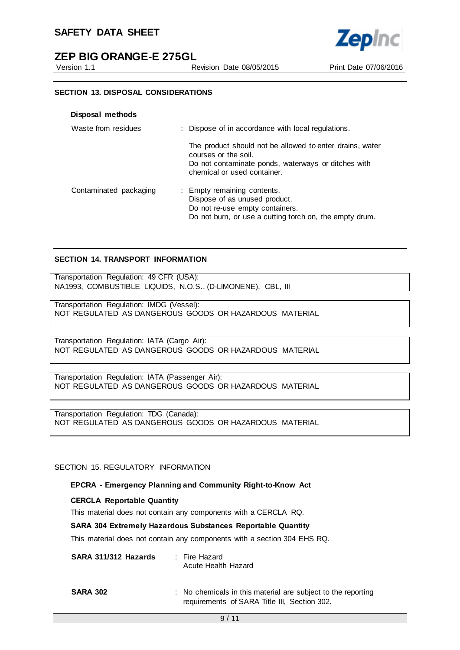# **SAFETY DATA SHEET**



Version 1.1 Revision Date 08/05/2015 Print Date 07/06/2016



#### **SECTION 13. DISPOSAL CONSIDERATIONS**

|  | Disposal methods |  |
|--|------------------|--|
|--|------------------|--|

| Waste from residues    | : Dispose of in accordance with local regulations.                                                                                                                     |
|------------------------|------------------------------------------------------------------------------------------------------------------------------------------------------------------------|
|                        | The product should not be allowed to enter drains, water<br>courses or the soil.<br>Do not contaminate ponds, waterways or ditches with<br>chemical or used container. |
| Contaminated packaging | : Empty remaining contents.<br>Dispose of as unused product.<br>Do not re-use empty containers.<br>Do not burn, or use a cutting torch on, the empty drum.             |

#### **SECTION 14. TRANSPORT INFORMATION**

Transportation Regulation: 49 CFR (USA): NA1993, COMBUSTIBLE LIQUIDS, N.O.S., (D-LIMONENE), CBL, III

Transportation Regulation: IMDG (Vessel): NOT REGULATED AS DANGEROUS GOODS OR HAZARDOUS MATERIAL

Transportation Regulation: IATA (Cargo Air): NOT REGULATED AS DANGEROUS GOODS OR HAZARDOUS MATERIAL

Transportation Regulation: IATA (Passenger Air): NOT REGULATED AS DANGEROUS GOODS OR HAZARDOUS MATERIAL

Transportation Regulation: TDG (Canada): NOT REGULATED AS DANGEROUS GOODS OR HAZARDOUS MATERIAL

#### SECTION 15. REGULATORY INFORMATION

#### **EPCRA - Emergency Planning and Community Right-to-Know Act**

#### **CERCLA Reportable Quantity**

This material does not contain any components with a CERCLA RQ.

#### **SARA 304 Extremely Hazardous Substances Reportable Quantity**

This material does not contain any components with a section 304 EHS RQ.

| SARA 311/312 Hazards | : Fire Hazard<br>Acute Health Hazard                                                                         |
|----------------------|--------------------------------------------------------------------------------------------------------------|
| <b>SARA 302</b>      | : No chemicals in this material are subject to the reporting<br>requirements of SARA Title III, Section 302. |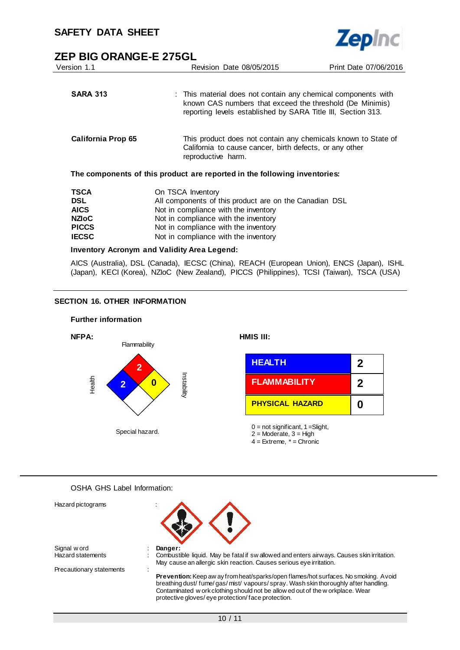| Version 1.1                                                                              | Revision Date 08/05/2015                                                                                                                                                                                                                    | Print Date 07/06/2016                                                                                                                                                                     |  |
|------------------------------------------------------------------------------------------|---------------------------------------------------------------------------------------------------------------------------------------------------------------------------------------------------------------------------------------------|-------------------------------------------------------------------------------------------------------------------------------------------------------------------------------------------|--|
| <b>SARA 313</b>                                                                          |                                                                                                                                                                                                                                             | : This material does not contain any chemical components with<br>known CAS numbers that exceed the threshold (De Minimis)<br>reporting levels established by SARA Title III, Section 313. |  |
| California Prop 65                                                                       | reproductive harm.                                                                                                                                                                                                                          | This product does not contain any chemicals known to State of<br>California to cause cancer, birth defects, or any other                                                                  |  |
|                                                                                          | The components of this product are reported in the following inventories:                                                                                                                                                                   |                                                                                                                                                                                           |  |
| <b>TSCA</b><br><b>DSL</b><br><b>AICS</b><br><b>NZIOC</b><br><b>PICCS</b><br><b>IECSC</b> | On TSCA Inventory<br>All components of this product are on the Canadian DSL<br>Not in compliance with the inventory<br>Not in compliance with the inventory<br>Not in compliance with the inventory<br>Not in compliance with the inventory |                                                                                                                                                                                           |  |
| <b>I A</b>                                                                               | 1.11                                                                                                                                                                                                                                        |                                                                                                                                                                                           |  |

**Zepinc** 

**Inventory Acronym and Validity Area Legend:**

AICS (Australia), DSL (Canada), IECSC (China), REACH (European Union), ENCS (Japan), ISHL (Japan), KECI (Korea), NZIoC (New Zealand), PICCS (Philippines), TCSI (Taiwan), TSCA (USA)

## **SECTION 16. OTHER INFORMATION**

#### **Further information**



## OSHA GHS Label Information:

| Hazard pictograms        |                                                                                                                                                                                                                                                                                                                |
|--------------------------|----------------------------------------------------------------------------------------------------------------------------------------------------------------------------------------------------------------------------------------------------------------------------------------------------------------|
| Signal w ord             | Danger:                                                                                                                                                                                                                                                                                                        |
| <b>Hazard statements</b> | Combustible liquid. May be fatal if sw allowed and enters airways. Causes skin irritation.                                                                                                                                                                                                                     |
|                          | May cause an allergic skin reaction. Causes serious eye irritation.                                                                                                                                                                                                                                            |
| Precautionary statements |                                                                                                                                                                                                                                                                                                                |
|                          | Prevention: Keep aw ay from heat/sparks/open flames/hot surfaces. No smoking. Avoid<br>breathing dust/fume/gas/mist/vapours/spray. Wash skin thoroughly after handling.<br>Contaminated w ork clothing should not be allow ed out of the w orkplace. Wear<br>protective gloves/eye protection/face protection. |